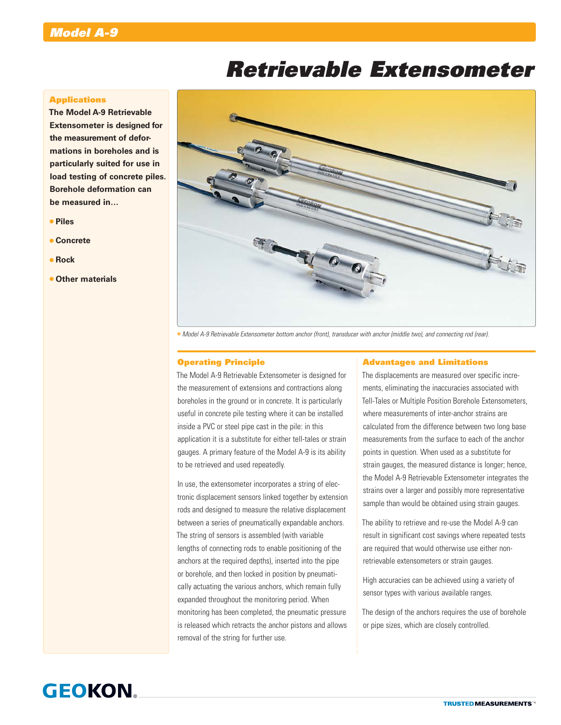# *Retrievable Extensometer*

# **Applications**

**The Model A-9 Retrievable Extensometer is designed for the measurement of deformations in boreholes and is particularly suited for use in load testing of concrete piles. Borehole deformation can be measured in…**

- **Piles**
- **Concrete**
- **Rock**
- **Other materials**



*Model A-9 Retrievable Extensometer bottom anchor (front), transducer with anchor (middle two), and connecting rod (rear).*

### Operating Principle

The Model A-9 Retrievable Extensometer is designed for the measurement of extensions and contractions along boreholes in the ground or in concrete. It is particularly useful in concrete pile testing where it can be installed inside a PVC or steel pipe cast in the pile: in this application it is a substitute for either tell-tales or strain gauges. A primary feature of the Model A-9 is its ability to be retrieved and used repeatedly.

In use, the extensometer incorporates a string of electronic displacement sensors linked together by extension rods and designed to measure the relative displacement between a series of pneumatically expandable anchors. The string of sensors is assembled (with variable lengths of connecting rods to enable positioning of the anchors at the required depths), inserted into the pipe or borehole, and then locked in position by pneumatically actuating the various anchors, which remain fully expanded throughout the monitoring period. When monitoring has been completed, the pneumatic pressure is released which retracts the anchor pistons and allows removal of the string for further use.

#### Advantages and Limitations

The displacements are measured over specific increments, eliminating the inaccuracies associated with Tell-Tales or Multiple Position Borehole Extensometers, where measurements of inter-anchor strains are calculated from the difference between two long base measurements from the surface to each of the anchor points in question. When used as a substitute for strain gauges, the measured distance is longer; hence, the Model A-9 Retrievable Extensometer integrates the strains over a larger and possibly more representative sample than would be obtained using strain gauges.

The ability to retrieve and re-use the Model A-9 can result in significant cost savings where repeated tests are required that would otherwise use either nonretrievable extensometers or strain gauges.

High accuracies can be achieved using a variety of sensor types with various available ranges.

The design of the anchors requires the use of borehole or pipe sizes, which are closely controlled.

# **GEOKON**